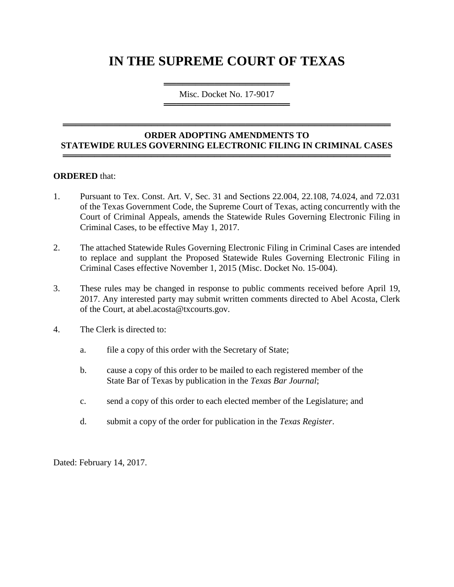# **IN THE SUPREME COURT OF TEXAS**

════════════════════════════════════ Misc. Docket No. 17-9017 ═════════════════════════════════════

#### **ORDER ADOPTING AMENDMENTS TO STATEWIDE RULES GOVERNING ELECTRONIC FILING IN CRIMINAL CASES** ════════════════════════════════════════════════════

════════════════════════════════════════════════════

#### **ORDERED** that:

- 1. Pursuant to Tex. Const. Art. V, Sec. 31 and Sections 22.004, 22.108, 74.024, and 72.031 of the Texas Government Code, the Supreme Court of Texas, acting concurrently with the Court of Criminal Appeals, amends the Statewide Rules Governing Electronic Filing in Criminal Cases, to be effective May 1, 2017.
- 2. The attached Statewide Rules Governing Electronic Filing in Criminal Cases are intended to replace and supplant the Proposed Statewide Rules Governing Electronic Filing in Criminal Cases effective November 1, 2015 (Misc. Docket No. 15-004).
- 3. These rules may be changed in response to public comments received before April 19, 2017. Any interested party may submit written comments directed to Abel Acosta, Clerk of the Court, at abel.acosta@txcourts.gov.
- 4. The Clerk is directed to:
	- a. file a copy of this order with the Secretary of State;
	- b. cause a copy of this order to be mailed to each registered member of the State Bar of Texas by publication in the *Texas Bar Journal*;
	- c. send a copy of this order to each elected member of the Legislature; and
	- d. submit a copy of the order for publication in the *Texas Register*.

Dated: February 14, 2017.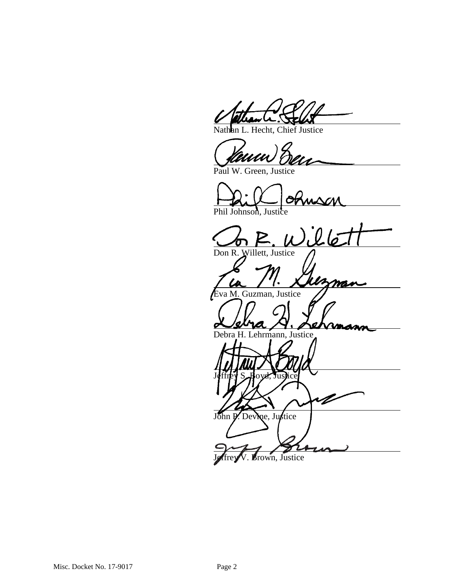Nathan L. Hecht, Chief Justice

Paul W. Green, Justice

Phil Johnson, Justice

 $26$ Don R. Willett, Justice

P man Eva M. Guzman, Justice

Debra H. Lehrmann, Justice

Jeffrey S. Hoyd, Justice V John P. Devine, Justice

Brown, Justice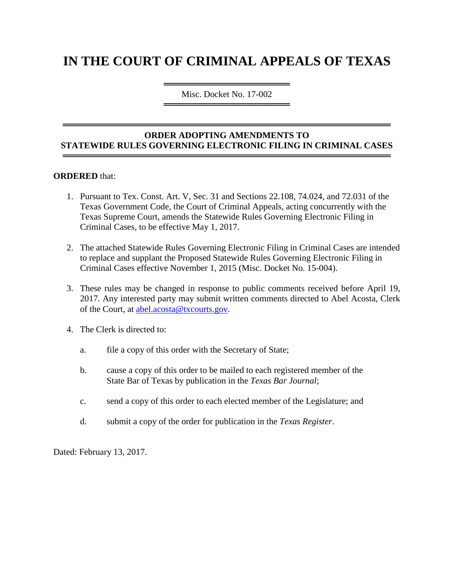# **IN THE COURT OF CRIMINAL APPEALS OF TEXAS**

════════════════════ Misc. Docket No. 17-002 ════════════════════

#### **ORDER ADOPTING AMENDMENTS TO STATEWIDE RULES GOVERNING ELECTRONIC FILING IN CRIMINAL CASES** ════════════════════════════════════════════════════

════════════════════════════════════════════════════

#### **ORDERED** that:

- 1. Pursuant to Tex. Const. Art. V, Sec. 31 and Sections 22.108, 74.024, and 72.031 of the Texas Government Code, the Court of Criminal Appeals, acting concurrently with the Texas Supreme Court, amends the Statewide Rules Governing Electronic Filing in Criminal Cases, to be effective May 1, 2017.
- 2. The attached Statewide Rules Governing Electronic Filing in Criminal Cases are intended to replace and supplant the Proposed Statewide Rules Governing Electronic Filing in Criminal Cases effective November 1, 2015 (Misc. Docket No. 15-004).
- 3. These rules may be changed in response to public comments received before April 19, 2017. Any interested party may submit written comments directed to Abel Acosta, Clerk of the Court, at [abel.acosta@txcourts.gov.](mailto:abel.acosta@txcourts.gov)
- 4. The Clerk is directed to:
	- a. file a copy of this order with the Secretary of State;
	- b. cause a copy of this order to be mailed to each registered member of the State Bar of Texas by publication in the *Texas Bar Journal*;
	- c. send a copy of this order to each elected member of the Legislature; and
	- d. submit a copy of the order for publication in the *Texas Register*.

Dated: February 13, 2017.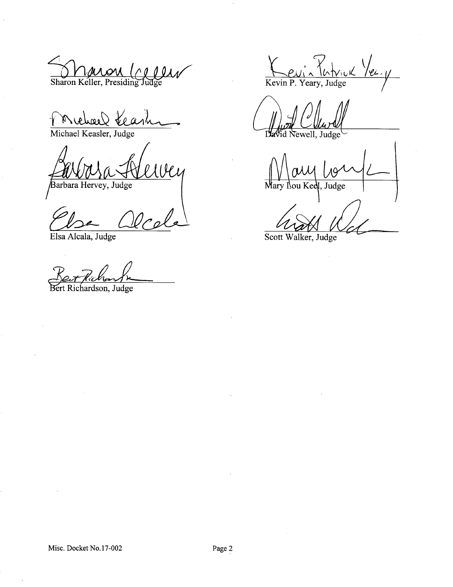Sharon Keller, Presiding Judge

Michael Kearly

Barbara Hervey, Judge

Elsa Alcala, Judge

Berkelbank

Kevin P. Yeary, Judge

Judge Mar

Scott Walker, Judge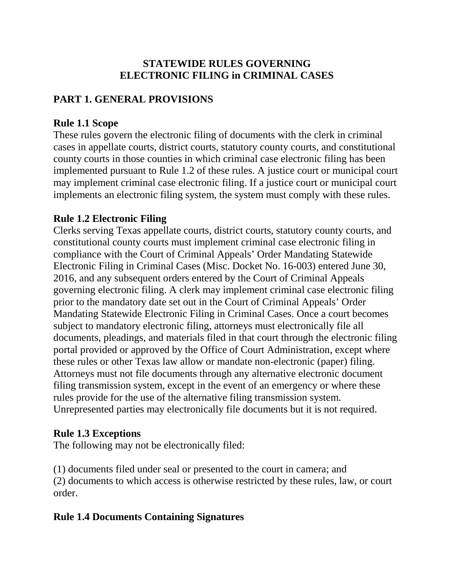#### **STATEWIDE RULES GOVERNING ELECTRONIC FILING in CRIMINAL CASES**

## **PART 1. GENERAL PROVISIONS**

#### **Rule 1.1 Scope**

These rules govern the electronic filing of documents with the clerk in criminal cases in appellate courts, district courts, statutory county courts, and constitutional county courts in those counties in which criminal case electronic filing has been implemented pursuant to Rule 1.2 of these rules. A justice court or municipal court may implement criminal case electronic filing. If a justice court or municipal court implements an electronic filing system, the system must comply with these rules.

### **Rule 1.2 Electronic Filing**

Clerks serving Texas appellate courts, district courts, statutory county courts, and constitutional county courts must implement criminal case electronic filing in compliance with the Court of Criminal Appeals' Order Mandating Statewide Electronic Filing in Criminal Cases (Misc. Docket No. 16-003) entered June 30, 2016, and any subsequent orders entered by the Court of Criminal Appeals governing electronic filing. A clerk may implement criminal case electronic filing prior to the mandatory date set out in the Court of Criminal Appeals' Order Mandating Statewide Electronic Filing in Criminal Cases. Once a court becomes subject to mandatory electronic filing, attorneys must electronically file all documents, pleadings, and materials filed in that court through the electronic filing portal provided or approved by the Office of Court Administration, except where these rules or other Texas law allow or mandate non-electronic (paper) filing. Attorneys must not file documents through any alternative electronic document filing transmission system, except in the event of an emergency or where these rules provide for the use of the alternative filing transmission system. Unrepresented parties may electronically file documents but it is not required.

### **Rule 1.3 Exceptions**

The following may not be electronically filed:

(1) documents filed under seal or presented to the court in camera; and (2) documents to which access is otherwise restricted by these rules, law, or court order.

# **Rule 1.4 Documents Containing Signatures**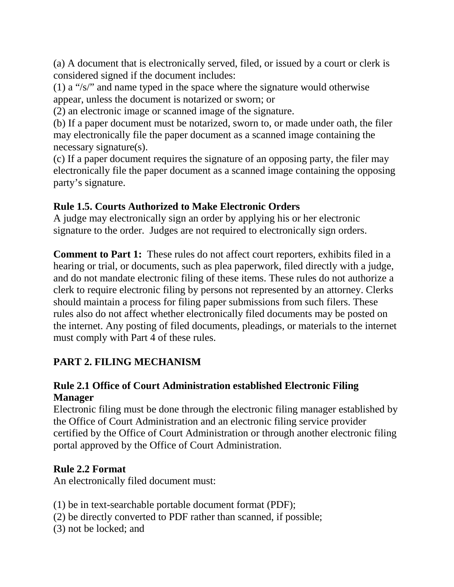(a) A document that is electronically served, filed, or issued by a court or clerk is considered signed if the document includes:

(1) a "/s/" and name typed in the space where the signature would otherwise appear, unless the document is notarized or sworn; or

(2) an electronic image or scanned image of the signature.

(b) If a paper document must be notarized, sworn to, or made under oath, the filer may electronically file the paper document as a scanned image containing the necessary signature(s).

(c) If a paper document requires the signature of an opposing party, the filer may electronically file the paper document as a scanned image containing the opposing party's signature.

### **Rule 1.5. Courts Authorized to Make Electronic Orders**

A judge may electronically sign an order by applying his or her electronic signature to the order. Judges are not required to electronically sign orders.

**Comment to Part 1:** These rules do not affect court reporters, exhibits filed in a hearing or trial, or documents, such as plea paperwork, filed directly with a judge, and do not mandate electronic filing of these items. These rules do not authorize a clerk to require electronic filing by persons not represented by an attorney. Clerks should maintain a process for filing paper submissions from such filers. These rules also do not affect whether electronically filed documents may be posted on the internet. Any posting of filed documents, pleadings, or materials to the internet must comply with Part 4 of these rules.

# **PART 2. FILING MECHANISM**

### **Rule 2.1 Office of Court Administration established Electronic Filing Manager**

Electronic filing must be done through the electronic filing manager established by the Office of Court Administration and an electronic filing service provider certified by the Office of Court Administration or through another electronic filing portal approved by the Office of Court Administration.

### **Rule 2.2 Format**

An electronically filed document must:

(1) be in text-searchable portable document format (PDF);

- (2) be directly converted to PDF rather than scanned, if possible;
- (3) not be locked; and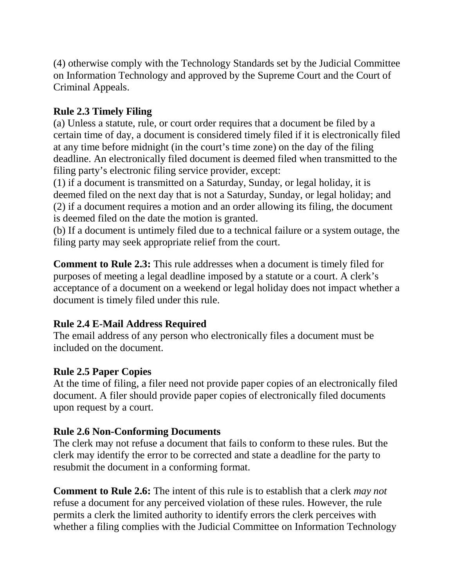(4) otherwise comply with the Technology Standards set by the Judicial Committee on Information Technology and approved by the Supreme Court and the Court of Criminal Appeals.

### **Rule 2.3 Timely Filing**

(a) Unless a statute, rule, or court order requires that a document be filed by a certain time of day, a document is considered timely filed if it is electronically filed at any time before midnight (in the court's time zone) on the day of the filing deadline. An electronically filed document is deemed filed when transmitted to the filing party's electronic filing service provider, except:

(1) if a document is transmitted on a Saturday, Sunday, or legal holiday, it is deemed filed on the next day that is not a Saturday, Sunday, or legal holiday; and (2) if a document requires a motion and an order allowing its filing, the document is deemed filed on the date the motion is granted.

(b) If a document is untimely filed due to a technical failure or a system outage, the filing party may seek appropriate relief from the court.

**Comment to Rule 2.3:** This rule addresses when a document is timely filed for purposes of meeting a legal deadline imposed by a statute or a court. A clerk's acceptance of a document on a weekend or legal holiday does not impact whether a document is timely filed under this rule.

### **Rule 2.4 E-Mail Address Required**

The email address of any person who electronically files a document must be included on the document.

### **Rule 2.5 Paper Copies**

At the time of filing, a filer need not provide paper copies of an electronically filed document. A filer should provide paper copies of electronically filed documents upon request by a court.

### **Rule 2.6 Non-Conforming Documents**

The clerk may not refuse a document that fails to conform to these rules. But the clerk may identify the error to be corrected and state a deadline for the party to resubmit the document in a conforming format.

**Comment to Rule 2.6:** The intent of this rule is to establish that a clerk *may not*  refuse a document for any perceived violation of these rules. However, the rule permits a clerk the limited authority to identify errors the clerk perceives with whether a filing complies with the Judicial Committee on Information Technology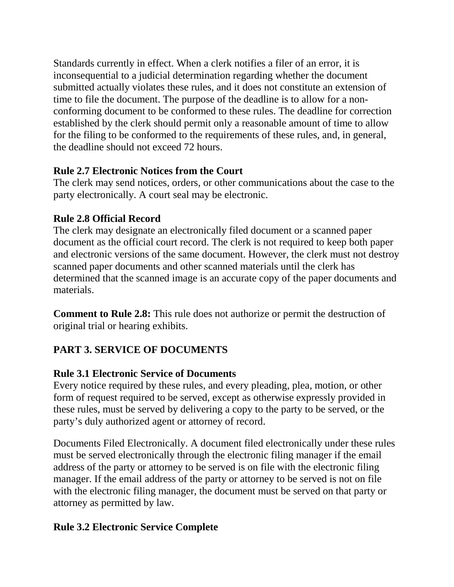Standards currently in effect. When a clerk notifies a filer of an error, it is inconsequential to a judicial determination regarding whether the document submitted actually violates these rules, and it does not constitute an extension of time to file the document. The purpose of the deadline is to allow for a nonconforming document to be conformed to these rules. The deadline for correction established by the clerk should permit only a reasonable amount of time to allow for the filing to be conformed to the requirements of these rules, and, in general, the deadline should not exceed 72 hours.

### **Rule 2.7 Electronic Notices from the Court**

The clerk may send notices, orders, or other communications about the case to the party electronically. A court seal may be electronic.

# **Rule 2.8 Official Record**

The clerk may designate an electronically filed document or a scanned paper document as the official court record. The clerk is not required to keep both paper and electronic versions of the same document. However, the clerk must not destroy scanned paper documents and other scanned materials until the clerk has determined that the scanned image is an accurate copy of the paper documents and materials.

**Comment to Rule 2.8:** This rule does not authorize or permit the destruction of original trial or hearing exhibits.

# **PART 3. SERVICE OF DOCUMENTS**

# **Rule 3.1 Electronic Service of Documents**

Every notice required by these rules, and every pleading, plea, motion, or other form of request required to be served, except as otherwise expressly provided in these rules, must be served by delivering a copy to the party to be served, or the party's duly authorized agent or attorney of record.

Documents Filed Electronically. A document filed electronically under these rules must be served electronically through the electronic filing manager if the email address of the party or attorney to be served is on file with the electronic filing manager. If the email address of the party or attorney to be served is not on file with the electronic filing manager, the document must be served on that party or attorney as permitted by law.

# **Rule 3.2 Electronic Service Complete**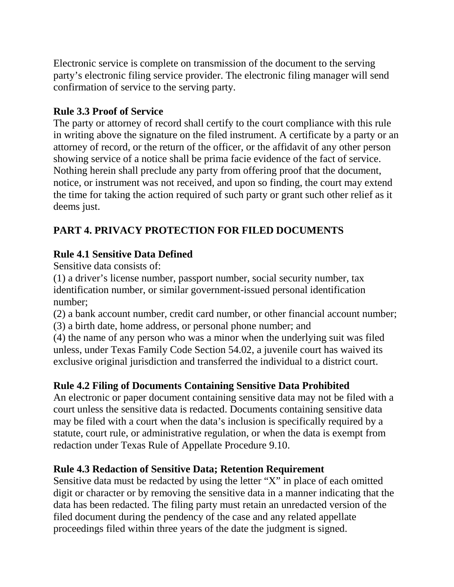Electronic service is complete on transmission of the document to the serving party's electronic filing service provider. The electronic filing manager will send confirmation of service to the serving party.

### **Rule 3.3 Proof of Service**

The party or attorney of record shall certify to the court compliance with this rule in writing above the signature on the filed instrument. A certificate by a party or an attorney of record, or the return of the officer, or the affidavit of any other person showing service of a notice shall be prima facie evidence of the fact of service. Nothing herein shall preclude any party from offering proof that the document, notice, or instrument was not received, and upon so finding, the court may extend the time for taking the action required of such party or grant such other relief as it deems just.

# **PART 4. PRIVACY PROTECTION FOR FILED DOCUMENTS**

# **Rule 4.1 Sensitive Data Defined**

Sensitive data consists of:

(1) a driver's license number, passport number, social security number, tax identification number, or similar government-issued personal identification number;

(2) a bank account number, credit card number, or other financial account number;

(3) a birth date, home address, or personal phone number; and

(4) the name of any person who was a minor when the underlying suit was filed unless, under Texas Family Code Section 54.02, a juvenile court has waived its exclusive original jurisdiction and transferred the individual to a district court.

# **Rule 4.2 Filing of Documents Containing Sensitive Data Prohibited**

An electronic or paper document containing sensitive data may not be filed with a court unless the sensitive data is redacted. Documents containing sensitive data may be filed with a court when the data's inclusion is specifically required by a statute, court rule, or administrative regulation, or when the data is exempt from redaction under Texas Rule of Appellate Procedure 9.10.

# **Rule 4.3 Redaction of Sensitive Data; Retention Requirement**

Sensitive data must be redacted by using the letter "X" in place of each omitted digit or character or by removing the sensitive data in a manner indicating that the data has been redacted. The filing party must retain an unredacted version of the filed document during the pendency of the case and any related appellate proceedings filed within three years of the date the judgment is signed.